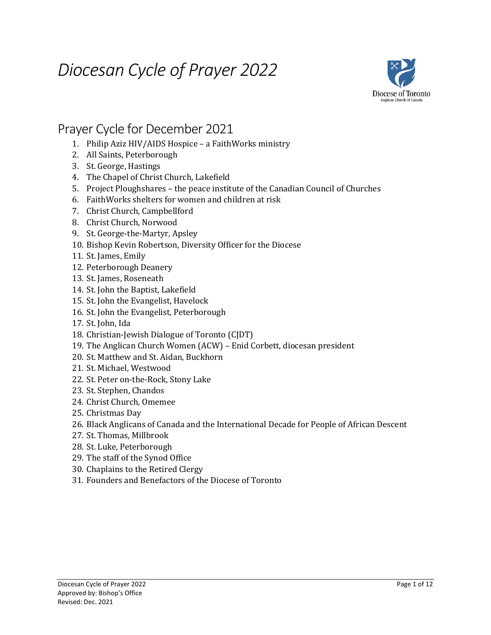# *Diocesan Cycle of Prayer 2022*



## Prayer Cycle for December 2021

- 1. Philip Aziz HIV/AIDS Hospice a FaithWorks ministry
- 2. All Saints, Peterborough
- 3. St. George, Hastings
- 4. The Chapel of Christ Church, Lakefield
- 5. Project Ploughshares the peace institute of the Canadian Council of Churches
- 6. FaithWorks shelters for women and children at risk
- 7. Christ Church, Campbellford
- 8. Christ Church, Norwood
- 9. St. George-the-Martyr, Apsley
- 10. Bishop Kevin Robertson, Diversity Officer for the Diocese
- 11. St. James, Emily
- 12. Peterborough Deanery
- 13. St. James, Roseneath
- 14. St. John the Baptist, Lakefield
- 15. St. John the Evangelist, Havelock
- 16. St. John the Evangelist, Peterborough
- 17. St. John, Ida
- 18. Christian-Jewish Dialogue of Toronto (CJDT)
- 19. The Anglican Church Women (ACW) Enid Corbett, diocesan president
- 20. St. Matthew and St. Aidan, Buckhorn
- 21. St. Michael, Westwood
- 22. St. Peter on-the-Rock, Stony Lake
- 23. St. Stephen, Chandos
- 24. Christ Church, Omemee
- 25. Christmas Day
- 26. Black Anglicans of Canada and the International Decade for People of African Descent
- 27. St. Thomas, Millbrook
- 28. St. Luke, Peterborough
- 29. The staff of the Synod Office
- 30. Chaplains to the Retired Clergy
- 31. Founders and Benefactors of the Diocese of Toronto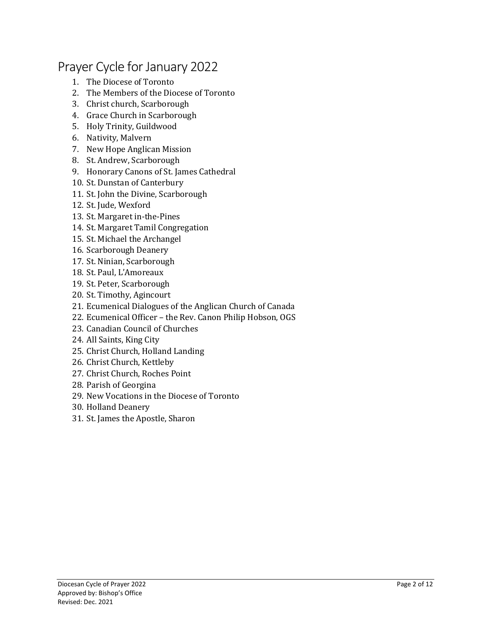# Prayer Cycle for January 2022

- 1. The Diocese of Toronto
- 2. The Members of the Diocese of Toronto
- 3. Christ church, Scarborough
- 4. Grace Church in Scarborough
- 5. Holy Trinity, Guildwood
- 6. Nativity, Malvern
- 7. New Hope Anglican Mission
- 8. St. Andrew, Scarborough
- 9. Honorary Canons of St. James Cathedral
- 10. St. Dunstan of Canterbury
- 11. St. John the Divine, Scarborough
- 12. St. Jude, Wexford
- 13. St. Margaret in-the-Pines
- 14. St. Margaret Tamil Congregation
- 15. St. Michael the Archangel
- 16. Scarborough Deanery
- 17. St. Ninian, Scarborough
- 18. St. Paul, L'Amoreaux
- 19. St. Peter, Scarborough
- 20. St. Timothy, Agincourt
- 21. Ecumenical Dialogues of the Anglican Church of Canada
- 22. Ecumenical Officer the Rev. Canon Philip Hobson, OGS
- 23. Canadian Council of Churches
- 24. All Saints, King City
- 25. Christ Church, Holland Landing
- 26. Christ Church, Kettleby
- 27. Christ Church, Roches Point
- 28. Parish of Georgina
- 29. New Vocations in the Diocese of Toronto
- 30. Holland Deanery
- 31. St. James the Apostle, Sharon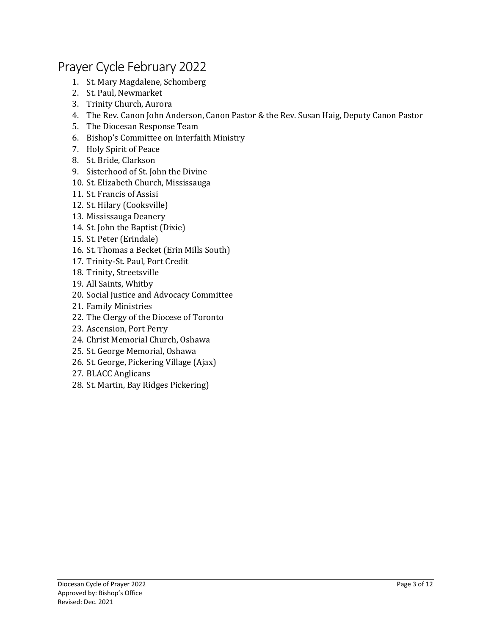## Prayer Cycle February 2022

- 1. St. Mary Magdalene, Schomberg
- 2. St. Paul, Newmarket
- 3. Trinity Church, Aurora
- 4. The Rev. Canon John Anderson, Canon Pastor & the Rev. Susan Haig, Deputy Canon Pastor
- 5. The Diocesan Response Team
- 6. Bishop's Committee on Interfaith Ministry
- 7. Holy Spirit of Peace
- 8. St. Bride, Clarkson
- 9. Sisterhood of St. John the Divine
- 10. St. Elizabeth Church, Mississauga
- 11. St. Francis of Assisi
- 12. St. Hilary (Cooksville)
- 13. Mississauga Deanery
- 14. St. John the Baptist (Dixie)
- 15. St. Peter (Erindale)
- 16. St. Thomas a Becket (Erin Mills South)
- 17. Trinity-St. Paul, Port Credit
- 18. Trinity, Streetsville
- 19. All Saints, Whitby
- 20. Social Justice and Advocacy Committee
- 21. Family Ministries
- 22. The Clergy of the Diocese of Toronto
- 23. Ascension, Port Perry
- 24. Christ Memorial Church, Oshawa
- 25. St. George Memorial, Oshawa
- 26. St. George, Pickering Village (Ajax)
- 27. BLACC Anglicans
- 28. St. Martin, Bay Ridges Pickering)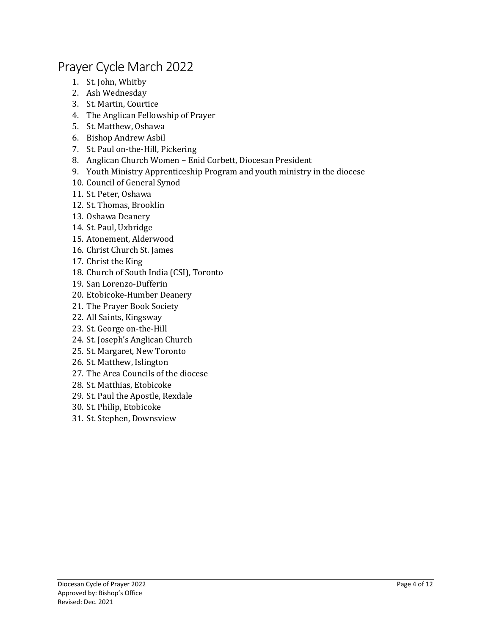## Prayer Cycle March 2022

- 1. St. John, Whitby
- 2. Ash Wednesday
- 3. St. Martin, Courtice
- 4. The Anglican Fellowship of Prayer
- 5. St. Matthew, Oshawa
- 6. Bishop Andrew Asbil
- 7. St. Paul on-the-Hill, Pickering
- 8. Anglican Church Women Enid Corbett, Diocesan President
- 9. Youth Ministry Apprenticeship Program and youth ministry in the diocese
- 10. Council of General Synod
- 11. St. Peter, Oshawa
- 12. St. Thomas, Brooklin
- 13. Oshawa Deanery
- 14. St. Paul, Uxbridge
- 15. Atonement, Alderwood
- 16. Christ Church St. James
- 17. Christ the King
- 18. Church of South India (CSI), Toronto
- 19. San Lorenzo-Dufferin
- 20. Etobicoke-Humber Deanery
- 21. The Prayer Book Society
- 22. All Saints, Kingsway
- 23. St. George on-the-Hill
- 24. St. Joseph's Anglican Church
- 25. St. Margaret, New Toronto
- 26. St. Matthew, Islington
- 27. The Area Councils of the diocese
- 28. St. Matthias, Etobicoke
- 29. St. Paul the Apostle, Rexdale
- 30. St. Philip, Etobicoke
- 31. St. Stephen, Downsview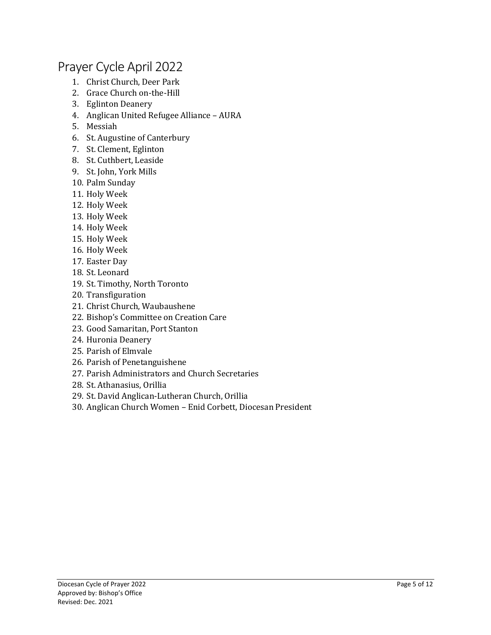## Prayer Cycle April 2022

- 1. Christ Church, Deer Park
- 2. Grace Church on-the-Hill
- 3. Eglinton Deanery
- 4. Anglican United Refugee Alliance AURA
- 5. Messiah
- 6. St. Augustine of Canterbury
- 7. St. Clement, Eglinton
- 8. St. Cuthbert, Leaside
- 9. St. John, York Mills
- 10. Palm Sunday
- 11. Holy Week
- 12. Holy Week
- 13. Holy Week
- 14. Holy Week
- 15. Holy Week
- 16. Holy Week
- 17. Easter Day
- 18. St. Leonard
- 19. St. Timothy, North Toronto
- 20. Transfiguration
- 21. Christ Church, Waubaushene
- 22. Bishop's Committee on Creation Care
- 23. Good Samaritan, Port Stanton
- 24. Huronia Deanery
- 25. Parish of Elmvale
- 26. Parish of Penetanguishene
- 27. Parish Administrators and Church Secretaries
- 28. St. Athanasius, Orillia
- 29. St. David Anglican-Lutheran Church, Orillia
- 30. Anglican Church Women Enid Corbett, Diocesan President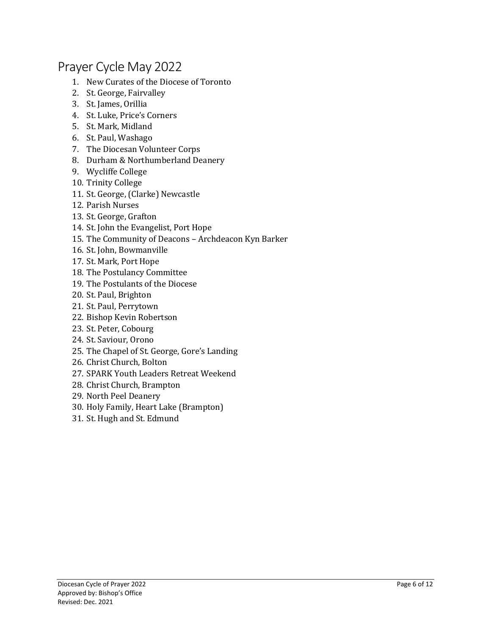### Prayer Cycle May 2022

- 1. New Curates of the Diocese of Toronto
- 2. St. George, Fairvalley
- 3. St. James, Orillia
- 4. St. Luke, Price's Corners
- 5. St. Mark, Midland
- 6. St. Paul, Washago
- 7. The Diocesan Volunteer Corps
- 8. Durham & Northumberland Deanery
- 9. Wycliffe College
- 10. Trinity College
- 11. St. George, (Clarke) Newcastle
- 12. Parish Nurses
- 13. St. George, Grafton
- 14. St. John the Evangelist, Port Hope
- 15. The Community of Deacons Archdeacon Kyn Barker
- 16. St. John, Bowmanville
- 17. St. Mark, Port Hope
- 18. The Postulancy Committee
- 19. The Postulants of the Diocese
- 20. St. Paul, Brighton
- 21. St. Paul, Perrytown
- 22. Bishop Kevin Robertson
- 23. St. Peter, Cobourg
- 24. St. Saviour, Orono
- 25. The Chapel of St. George, Gore's Landing
- 26. Christ Church, Bolton
- 27. SPARK Youth Leaders Retreat Weekend
- 28. Christ Church, Brampton
- 29. North Peel Deanery
- 30. Holy Family, Heart Lake (Brampton)
- 31. St. Hugh and St. Edmund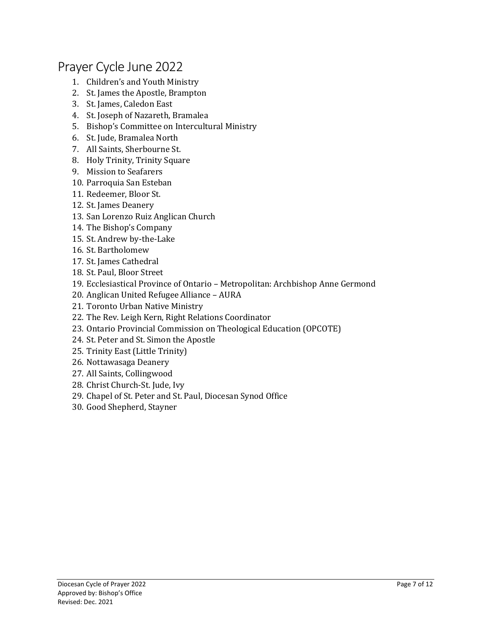#### Prayer Cycle June 2022

- 1. Children's and Youth Ministry
- 2. St. James the Apostle, Brampton
- 3. St. James, Caledon East
- 4. St. Joseph of Nazareth, Bramalea
- 5. Bishop's Committee on Intercultural Ministry
- 6. St. Jude, Bramalea North
- 7. All Saints, Sherbourne St.
- 8. Holy Trinity, Trinity Square
- 9. Mission to Seafarers
- 10. Parroquia San Esteban
- 11. Redeemer, Bloor St.
- 12. St. James Deanery
- 13. San Lorenzo Ruiz Anglican Church
- 14. The Bishop's Company
- 15. St. Andrew by-the-Lake
- 16. St. Bartholomew
- 17. St. James Cathedral
- 18. St. Paul, Bloor Street
- 19. Ecclesiastical Province of Ontario Metropolitan: Archbishop Anne Germond
- 20. Anglican United Refugee Alliance AURA
- 21. Toronto Urban Native Ministry
- 22. The Rev. Leigh Kern, Right Relations Coordinator
- 23. Ontario Provincial Commission on Theological Education (OPCOTE)
- 24. St. Peter and St. Simon the Apostle
- 25. Trinity East (Little Trinity)
- 26. Nottawasaga Deanery
- 27. All Saints, Collingwood
- 28. Christ Church-St. Jude, Ivy
- 29. Chapel of St. Peter and St. Paul, Diocesan Synod Office
- 30. Good Shepherd, Stayner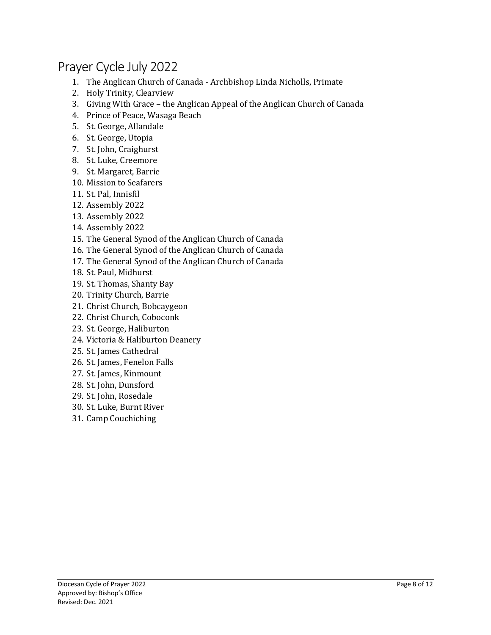# Prayer Cycle July 2022

- 1. The Anglican Church of Canada Archbishop Linda Nicholls, Primate
- 2. Holy Trinity, Clearview
- 3. Giving With Grace the Anglican Appeal of the Anglican Church of Canada
- 4. Prince of Peace, Wasaga Beach
- 5. St. George, Allandale
- 6. St. George, Utopia
- 7. St. John, Craighurst
- 8. St. Luke, Creemore
- 9. St. Margaret, Barrie
- 10. Mission to Seafarers
- 11. St. Pal, Innisfil
- 12. Assembly 2022
- 13. Assembly 2022
- 14. Assembly 2022
- 15. The General Synod of the Anglican Church of Canada
- 16. The General Synod of the Anglican Church of Canada
- 17. The General Synod of the Anglican Church of Canada
- 18. St. Paul, Midhurst
- 19. St. Thomas, Shanty Bay
- 20. Trinity Church, Barrie
- 21. Christ Church, Bobcaygeon
- 22. Christ Church, Coboconk
- 23. St. George, Haliburton
- 24. Victoria & Haliburton Deanery
- 25. St. James Cathedral
- 26. St. James, Fenelon Falls
- 27. St. James, Kinmount
- 28. St. John, Dunsford
- 29. St. John, Rosedale
- 30. St. Luke, Burnt River
- 31. Camp Couchiching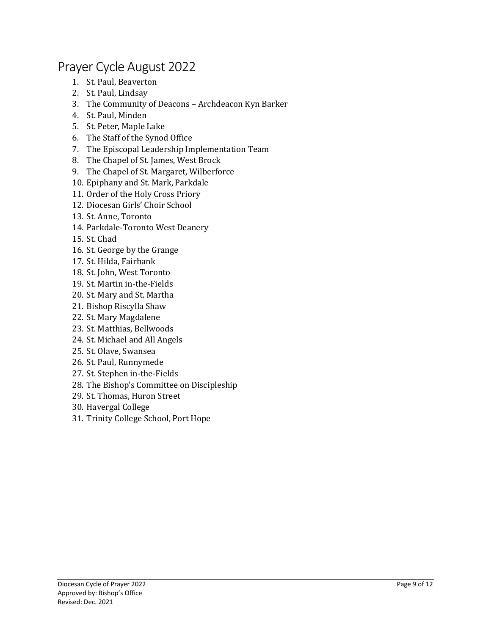## Prayer Cycle August 2022

- 1. St. Paul, Beaverton
- 2. St. Paul, Lindsay
- 3. The Community of Deacons Archdeacon Kyn Barker
- 4. St. Paul, Minden
- 5. St. Peter, Maple Lake
- 6. The Staff of the Synod Office
- 7. The Episcopal Leadership Implementation Team
- 8. The Chapel of St. James, West Brock
- 9. The Chapel of St. Margaret, Wilberforce
- 10. Epiphany and St. Mark, Parkdale
- 11. Order of the Holy Cross Priory
- 12. Diocesan Girls' Choir School
- 13. St. Anne, Toronto
- 14. Parkdale-Toronto West Deanery
- 15. St. Chad
- 16. St. George by the Grange
- 17. St. Hilda, Fairbank
- 18. St. John, West Toronto
- 19. St. Martin in-the-Fields
- 20. St. Mary and St. Martha
- 21. Bishop Riscylla Shaw
- 22. St. Mary Magdalene
- 23. St. Matthias, Bellwoods
- 24. St. Michael and All Angels
- 25. St. Olave, Swansea
- 26. St. Paul, Runnymede
- 27. St. Stephen in-the-Fields
- 28. The Bishop's Committee on Discipleship
- 29. St. Thomas, Huron Street
- 30. Havergal College
- 31. Trinity College School, Port Hope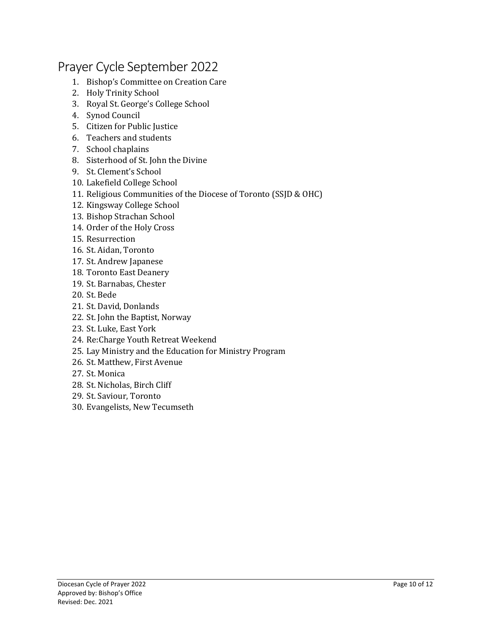# Prayer Cycle September 2022

- 1. Bishop's Committee on Creation Care
- 2. Holy Trinity School
- 3. Royal St. George's College School
- 4. Synod Council
- 5. Citizen for Public Justice
- 6. Teachers and students
- 7. School chaplains
- 8. Sisterhood of St. John the Divine
- 9. St. Clement's School
- 10. Lakefield College School
- 11. Religious Communities of the Diocese of Toronto (SSJD & OHC)
- 12. Kingsway College School
- 13. Bishop Strachan School
- 14. Order of the Holy Cross
- 15. Resurrection
- 16. St. Aidan, Toronto
- 17. St. Andrew Japanese
- 18. Toronto East Deanery
- 19. St. Barnabas, Chester
- 20. St. Bede
- 21. St. David, Donlands
- 22. St. John the Baptist, Norway
- 23. St. Luke, East York
- 24. Re:Charge Youth Retreat Weekend
- 25. Lay Ministry and the Education for Ministry Program
- 26. St. Matthew, First Avenue
- 27. St. Monica
- 28. St. Nicholas, Birch Cliff
- 29. St. Saviour, Toronto
- 30. Evangelists, New Tecumseth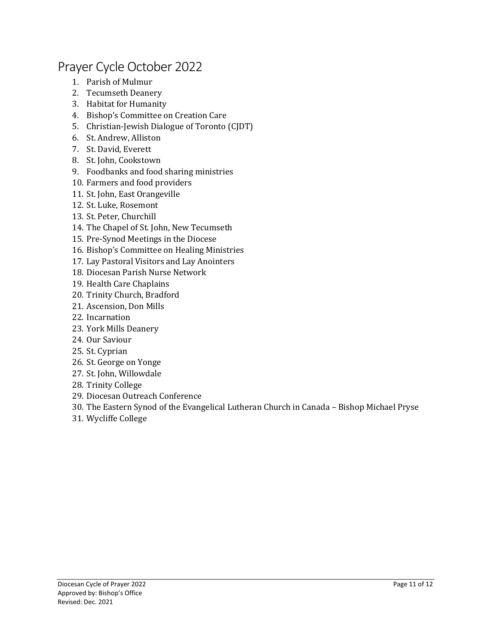#### Prayer Cycle October 2022

- 1. Parish of Mulmur
- 2. Tecumseth Deanery
- 3. Habitat for Humanity
- 4. Bishop's Committee on Creation Care
- 5. Christian-Jewish Dialogue of Toronto (CJDT)
- 6. St. Andrew, Alliston
- 7. St. David, Everett
- 8. St. John, Cookstown
- 9. Foodbanks and food sharing ministries
- 10. Farmers and food providers
- 11. St. John, East Orangeville
- 12. St. Luke, Rosemont
- 13. St. Peter, Churchill
- 14. The Chapel of St. John, New Tecumseth
- 15. Pre-Synod Meetings in the Diocese
- 16. Bishop's Committee on Healing Ministries
- 17. Lay Pastoral Visitors and Lay Anointers
- 18. Diocesan Parish Nurse Network
- 19. Health Care Chaplains
- 20. Trinity Church, Bradford
- 21. Ascension, Don Mills
- 22. Incarnation
- 23. York Mills Deanery
- 24. Our Saviour
- 25. St. Cyprian
- 26. St. George on Yonge
- 27. St. John, Willowdale
- 28. Trinity College
- 29. Diocesan Outreach Conference
- 30. The Eastern Synod of the Evangelical Lutheran Church in Canada Bishop Michael Pryse
- 31. Wycliffe College